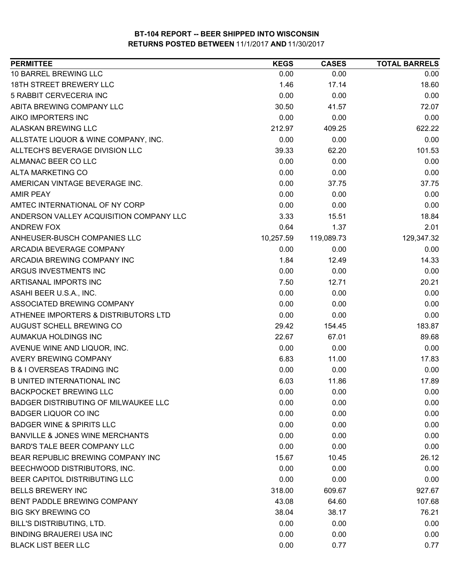| <b>PERMITTEE</b>                           | <b>KEGS</b> | <b>CASES</b> | <b>TOTAL BARRELS</b> |
|--------------------------------------------|-------------|--------------|----------------------|
| 10 BARREL BREWING LLC                      | 0.00        | 0.00         | 0.00                 |
| 18TH STREET BREWERY LLC                    | 1.46        | 17.14        | 18.60                |
| 5 RABBIT CERVECERIA INC                    | 0.00        | 0.00         | 0.00                 |
| ABITA BREWING COMPANY LLC                  | 30.50       | 41.57        | 72.07                |
| AIKO IMPORTERS INC                         | 0.00        | 0.00         | 0.00                 |
| <b>ALASKAN BREWING LLC</b>                 | 212.97      | 409.25       | 622.22               |
| ALLSTATE LIQUOR & WINE COMPANY, INC.       | 0.00        | 0.00         | 0.00                 |
| ALLTECH'S BEVERAGE DIVISION LLC            | 39.33       | 62.20        | 101.53               |
| ALMANAC BEER CO LLC                        | 0.00        | 0.00         | 0.00                 |
| <b>ALTA MARKETING CO</b>                   | 0.00        | 0.00         | 0.00                 |
| AMERICAN VINTAGE BEVERAGE INC.             | 0.00        | 37.75        | 37.75                |
| <b>AMIR PEAY</b>                           | 0.00        | 0.00         | 0.00                 |
| AMTEC INTERNATIONAL OF NY CORP             | 0.00        | 0.00         | 0.00                 |
| ANDERSON VALLEY ACQUISITION COMPANY LLC    | 3.33        | 15.51        | 18.84                |
| <b>ANDREW FOX</b>                          | 0.64        | 1.37         | 2.01                 |
| ANHEUSER-BUSCH COMPANIES LLC               | 10,257.59   | 119,089.73   | 129,347.32           |
| ARCADIA BEVERAGE COMPANY                   | 0.00        | 0.00         | 0.00                 |
| ARCADIA BREWING COMPANY INC                | 1.84        | 12.49        | 14.33                |
| ARGUS INVESTMENTS INC                      | 0.00        | 0.00         | 0.00                 |
| ARTISANAL IMPORTS INC                      | 7.50        | 12.71        | 20.21                |
| ASAHI BEER U.S.A., INC.                    | 0.00        | 0.00         | 0.00                 |
| ASSOCIATED BREWING COMPANY                 | 0.00        | 0.00         | 0.00                 |
| ATHENEE IMPORTERS & DISTRIBUTORS LTD       | 0.00        | 0.00         | 0.00                 |
| AUGUST SCHELL BREWING CO                   | 29.42       | 154.45       | 183.87               |
| AUMAKUA HOLDINGS INC                       | 22.67       | 67.01        | 89.68                |
| AVENUE WINE AND LIQUOR, INC.               | 0.00        | 0.00         | 0.00                 |
| <b>AVERY BREWING COMPANY</b>               | 6.83        | 11.00        | 17.83                |
| <b>B &amp; I OVERSEAS TRADING INC</b>      | 0.00        | 0.00         | 0.00                 |
| <b>B UNITED INTERNATIONAL INC</b>          | 6.03        | 11.86        | 17.89                |
| <b>BACKPOCKET BREWING LLC</b>              | 0.00        | 0.00         | 0.00                 |
| BADGER DISTRIBUTING OF MILWAUKEE LLC       | 0.00        | 0.00         | 0.00                 |
| <b>BADGER LIQUOR CO INC</b>                | 0.00        | 0.00         | 0.00                 |
| <b>BADGER WINE &amp; SPIRITS LLC</b>       | 0.00        | 0.00         | 0.00                 |
| <b>BANVILLE &amp; JONES WINE MERCHANTS</b> | 0.00        | 0.00         | 0.00                 |
| BARD'S TALE BEER COMPANY LLC               | 0.00        | 0.00         | 0.00                 |
| BEAR REPUBLIC BREWING COMPANY INC          | 15.67       | 10.45        | 26.12                |
| BEECHWOOD DISTRIBUTORS, INC.               | 0.00        | 0.00         | 0.00                 |
| BEER CAPITOL DISTRIBUTING LLC              | 0.00        | 0.00         | 0.00                 |
| <b>BELLS BREWERY INC</b>                   | 318.00      | 609.67       | 927.67               |
| BENT PADDLE BREWING COMPANY                | 43.08       | 64.60        | 107.68               |
| <b>BIG SKY BREWING CO</b>                  | 38.04       | 38.17        | 76.21                |
| BILL'S DISTRIBUTING, LTD.                  | 0.00        | 0.00         | 0.00                 |
| <b>BINDING BRAUEREI USA INC</b>            | 0.00        | 0.00         | 0.00                 |
| <b>BLACK LIST BEER LLC</b>                 | 0.00        | 0.77         | 0.77                 |
|                                            |             |              |                      |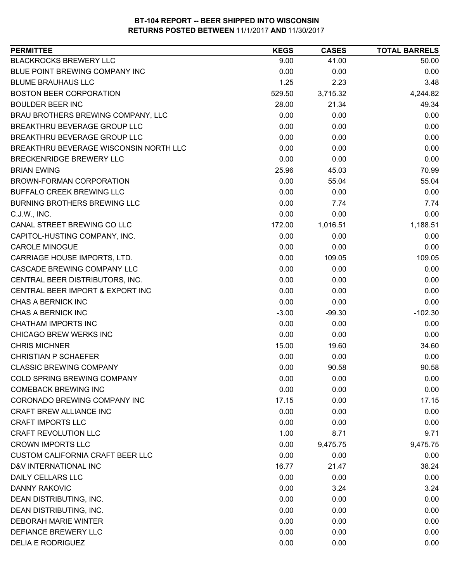| <b>PERMITTEE</b>                        | <b>KEGS</b> | <b>CASES</b> | <b>TOTAL BARRELS</b> |
|-----------------------------------------|-------------|--------------|----------------------|
| <b>BLACKROCKS BREWERY LLC</b>           | 9.00        | 41.00        | 50.00                |
| BLUE POINT BREWING COMPANY INC          | 0.00        | 0.00         | 0.00                 |
| <b>BLUME BRAUHAUS LLC</b>               | 1.25        | 2.23         | 3.48                 |
| <b>BOSTON BEER CORPORATION</b>          | 529.50      | 3,715.32     | 4,244.82             |
| <b>BOULDER BEER INC</b>                 | 28.00       | 21.34        | 49.34                |
| BRAU BROTHERS BREWING COMPANY, LLC      | 0.00        | 0.00         | 0.00                 |
| BREAKTHRU BEVERAGE GROUP LLC            | 0.00        | 0.00         | 0.00                 |
| BREAKTHRU BEVERAGE GROUP LLC            | 0.00        | 0.00         | 0.00                 |
| BREAKTHRU BEVERAGE WISCONSIN NORTH LLC  | 0.00        | 0.00         | 0.00                 |
| BRECKENRIDGE BREWERY LLC                | 0.00        | 0.00         | 0.00                 |
| <b>BRIAN EWING</b>                      | 25.96       | 45.03        | 70.99                |
| BROWN-FORMAN CORPORATION                | 0.00        | 55.04        | 55.04                |
| BUFFALO CREEK BREWING LLC               | 0.00        | 0.00         | 0.00                 |
| <b>BURNING BROTHERS BREWING LLC</b>     | 0.00        | 7.74         | 7.74                 |
| C.J.W., INC.                            | 0.00        | 0.00         | 0.00                 |
| CANAL STREET BREWING CO LLC             | 172.00      | 1,016.51     | 1,188.51             |
| CAPITOL-HUSTING COMPANY, INC.           | 0.00        | 0.00         | 0.00                 |
| <b>CAROLE MINOGUE</b>                   | 0.00        | 0.00         | 0.00                 |
| CARRIAGE HOUSE IMPORTS, LTD.            | 0.00        | 109.05       | 109.05               |
| CASCADE BREWING COMPANY LLC             | 0.00        | 0.00         | 0.00                 |
| CENTRAL BEER DISTRIBUTORS, INC.         | 0.00        | 0.00         | 0.00                 |
| CENTRAL BEER IMPORT & EXPORT INC        | 0.00        | 0.00         | 0.00                 |
| CHAS A BERNICK INC                      | 0.00        | 0.00         | 0.00                 |
| CHAS A BERNICK INC                      | $-3.00$     | $-99.30$     | $-102.30$            |
| CHATHAM IMPORTS INC                     | 0.00        | 0.00         | 0.00                 |
| CHICAGO BREW WERKS INC                  | 0.00        | 0.00         | 0.00                 |
| <b>CHRIS MICHNER</b>                    | 15.00       | 19.60        | 34.60                |
| <b>CHRISTIAN P SCHAEFER</b>             | 0.00        | 0.00         | 0.00                 |
| <b>CLASSIC BREWING COMPANY</b>          | 0.00        | 90.58        | 90.58                |
| COLD SPRING BREWING COMPANY             | 0.00        | 0.00         | 0.00                 |
| <b>COMEBACK BREWING INC</b>             | 0.00        | 0.00         | 0.00                 |
| CORONADO BREWING COMPANY INC            | 17.15       | 0.00         | 17.15                |
| <b>CRAFT BREW ALLIANCE INC</b>          | 0.00        | 0.00         | 0.00                 |
| <b>CRAFT IMPORTS LLC</b>                | 0.00        | 0.00         | 0.00                 |
| <b>CRAFT REVOLUTION LLC</b>             | 1.00        | 8.71         | 9.71                 |
| <b>CROWN IMPORTS LLC</b>                | 0.00        | 9,475.75     | 9,475.75             |
| <b>CUSTOM CALIFORNIA CRAFT BEER LLC</b> | 0.00        | 0.00         | 0.00                 |
| D&V INTERNATIONAL INC                   | 16.77       | 21.47        | 38.24                |
| <b>DAILY CELLARS LLC</b>                | 0.00        | 0.00         | 0.00                 |
| <b>DANNY RAKOVIC</b>                    | 0.00        | 3.24         | 3.24                 |
| DEAN DISTRIBUTING, INC.                 | 0.00        | 0.00         | 0.00                 |
| DEAN DISTRIBUTING, INC.                 | 0.00        | 0.00         | 0.00                 |
| <b>DEBORAH MARIE WINTER</b>             | 0.00        | 0.00         | 0.00                 |
| DEFIANCE BREWERY LLC                    | 0.00        | 0.00         | 0.00                 |
| <b>DELIA E RODRIGUEZ</b>                | 0.00        | 0.00         | 0.00                 |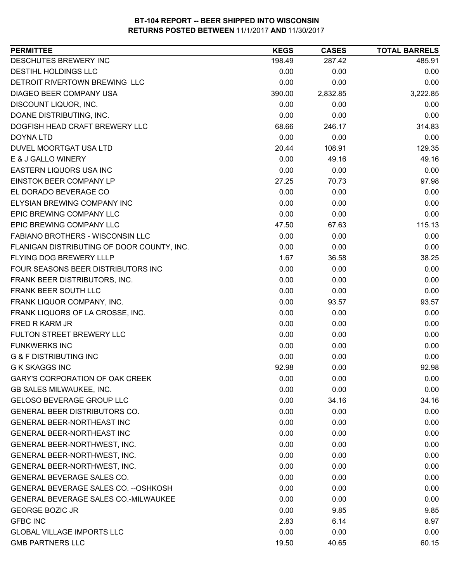| <b>PERMITTEE</b>                           | <b>KEGS</b> | <b>CASES</b> | <b>TOTAL BARRELS</b> |
|--------------------------------------------|-------------|--------------|----------------------|
| DESCHUTES BREWERY INC                      | 198.49      | 287.42       | 485.91               |
| DESTIHL HOLDINGS LLC                       | 0.00        | 0.00         | 0.00                 |
| DETROIT RIVERTOWN BREWING LLC              | 0.00        | 0.00         | 0.00                 |
| DIAGEO BEER COMPANY USA                    | 390.00      | 2,832.85     | 3,222.85             |
| DISCOUNT LIQUOR, INC.                      | 0.00        | 0.00         | 0.00                 |
| DOANE DISTRIBUTING, INC.                   | 0.00        | 0.00         | 0.00                 |
| DOGFISH HEAD CRAFT BREWERY LLC             | 68.66       | 246.17       | 314.83               |
| <b>DOYNA LTD</b>                           | 0.00        | 0.00         | 0.00                 |
| DUVEL MOORTGAT USA LTD                     | 20.44       | 108.91       | 129.35               |
| E & J GALLO WINERY                         | 0.00        | 49.16        | 49.16                |
| EASTERN LIQUORS USA INC                    | 0.00        | 0.00         | 0.00                 |
| EINSTOK BEER COMPANY LP                    | 27.25       | 70.73        | 97.98                |
| EL DORADO BEVERAGE CO                      | 0.00        | 0.00         | 0.00                 |
| <b>ELYSIAN BREWING COMPANY INC</b>         | 0.00        | 0.00         | 0.00                 |
| EPIC BREWING COMPANY LLC                   | 0.00        | 0.00         | 0.00                 |
| EPIC BREWING COMPANY LLC                   | 47.50       | 67.63        | 115.13               |
| <b>FABIANO BROTHERS - WISCONSIN LLC</b>    | 0.00        | 0.00         | 0.00                 |
| FLANIGAN DISTRIBUTING OF DOOR COUNTY, INC. | 0.00        | 0.00         | 0.00                 |
| FLYING DOG BREWERY LLLP                    | 1.67        | 36.58        | 38.25                |
| FOUR SEASONS BEER DISTRIBUTORS INC         | 0.00        | 0.00         | 0.00                 |
| FRANK BEER DISTRIBUTORS, INC.              | 0.00        | 0.00         | 0.00                 |
| FRANK BEER SOUTH LLC                       | 0.00        | 0.00         | 0.00                 |
| FRANK LIQUOR COMPANY, INC.                 | 0.00        | 93.57        | 93.57                |
| FRANK LIQUORS OF LA CROSSE, INC.           | 0.00        | 0.00         | 0.00                 |
| FRED R KARM JR                             | 0.00        | 0.00         | 0.00                 |
| FULTON STREET BREWERY LLC                  | 0.00        | 0.00         | 0.00                 |
| <b>FUNKWERKS INC</b>                       | 0.00        | 0.00         | 0.00                 |
| <b>G &amp; F DISTRIBUTING INC</b>          | 0.00        | 0.00         | 0.00                 |
| <b>G K SKAGGS INC</b>                      | 92.98       | 0.00         | 92.98                |
| <b>GARY'S CORPORATION OF OAK CREEK</b>     | 0.00        | 0.00         | 0.00                 |
| <b>GB SALES MILWAUKEE, INC.</b>            | 0.00        | 0.00         | 0.00                 |
| <b>GELOSO BEVERAGE GROUP LLC</b>           | 0.00        | 34.16        | 34.16                |
| GENERAL BEER DISTRIBUTORS CO.              | 0.00        | 0.00         | 0.00                 |
| <b>GENERAL BEER-NORTHEAST INC</b>          | 0.00        | 0.00         | 0.00                 |
| GENERAL BEER-NORTHEAST INC                 | 0.00        | 0.00         | 0.00                 |
| GENERAL BEER-NORTHWEST, INC.               | 0.00        | 0.00         | 0.00                 |
| GENERAL BEER-NORTHWEST, INC.               | 0.00        | 0.00         | 0.00                 |
| GENERAL BEER-NORTHWEST, INC.               | 0.00        | 0.00         | 0.00                 |
| GENERAL BEVERAGE SALES CO.                 | 0.00        | 0.00         | 0.00                 |
| GENERAL BEVERAGE SALES CO. -- OSHKOSH      | 0.00        | 0.00         | 0.00                 |
| GENERAL BEVERAGE SALES CO.-MILWAUKEE       | 0.00        | 0.00         | 0.00                 |
| <b>GEORGE BOZIC JR</b>                     | 0.00        | 9.85         | 9.85                 |
| <b>GFBC INC</b>                            | 2.83        | 6.14         | 8.97                 |
| <b>GLOBAL VILLAGE IMPORTS LLC</b>          | 0.00        | 0.00         | 0.00                 |
| <b>GMB PARTNERS LLC</b>                    | 19.50       | 40.65        | 60.15                |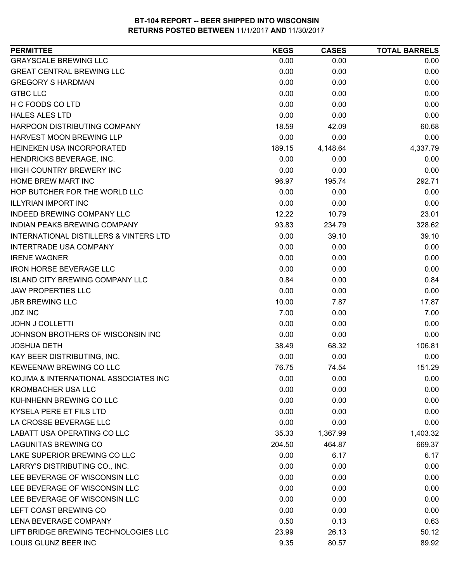| <b>PERMITTEE</b>                                  | <b>KEGS</b> | <b>CASES</b> | <b>TOTAL BARRELS</b> |
|---------------------------------------------------|-------------|--------------|----------------------|
| <b>GRAYSCALE BREWING LLC</b>                      | 0.00        | 0.00         | 0.00                 |
| <b>GREAT CENTRAL BREWING LLC</b>                  | 0.00        | 0.00         | 0.00                 |
| <b>GREGORY S HARDMAN</b>                          | 0.00        | 0.00         | 0.00                 |
| <b>GTBC LLC</b>                                   | 0.00        | 0.00         | 0.00                 |
| H C FOODS CO LTD                                  | 0.00        | 0.00         | 0.00                 |
| <b>HALES ALES LTD</b>                             | 0.00        | 0.00         | 0.00                 |
| HARPOON DISTRIBUTING COMPANY                      | 18.59       | 42.09        | 60.68                |
| HARVEST MOON BREWING LLP                          | 0.00        | 0.00         | 0.00                 |
| HEINEKEN USA INCORPORATED                         | 189.15      | 4,148.64     | 4,337.79             |
| HENDRICKS BEVERAGE, INC.                          | 0.00        | 0.00         | 0.00                 |
| <b>HIGH COUNTRY BREWERY INC</b>                   | 0.00        | 0.00         | 0.00                 |
| HOME BREW MART INC                                | 96.97       | 195.74       | 292.71               |
| HOP BUTCHER FOR THE WORLD LLC                     | 0.00        | 0.00         | 0.00                 |
| <b>ILLYRIAN IMPORT INC</b>                        | 0.00        | 0.00         | 0.00                 |
| <b>INDEED BREWING COMPANY LLC</b>                 | 12.22       | 10.79        | 23.01                |
| INDIAN PEAKS BREWING COMPANY                      | 93.83       | 234.79       | 328.62               |
| <b>INTERNATIONAL DISTILLERS &amp; VINTERS LTD</b> | 0.00        | 39.10        | 39.10                |
| <b>INTERTRADE USA COMPANY</b>                     | 0.00        | 0.00         | 0.00                 |
| <b>IRENE WAGNER</b>                               | 0.00        | 0.00         | 0.00                 |
| <b>IRON HORSE BEVERAGE LLC</b>                    | 0.00        | 0.00         | 0.00                 |
| <b>ISLAND CITY BREWING COMPANY LLC</b>            | 0.84        | 0.00         | 0.84                 |
| <b>JAW PROPERTIES LLC</b>                         | 0.00        | 0.00         | 0.00                 |
| <b>JBR BREWING LLC</b>                            | 10.00       | 7.87         | 17.87                |
| <b>JDZ INC</b>                                    | 7.00        | 0.00         | 7.00                 |
| <b>JOHN J COLLETTI</b>                            | 0.00        | 0.00         | 0.00                 |
| JOHNSON BROTHERS OF WISCONSIN INC                 | 0.00        | 0.00         | 0.00                 |
| <b>JOSHUA DETH</b>                                | 38.49       | 68.32        | 106.81               |
| KAY BEER DISTRIBUTING, INC.                       | 0.00        | 0.00         | 0.00                 |
| KEWEENAW BREWING CO LLC                           | 76.75       | 74.54        | 151.29               |
| KOJIMA & INTERNATIONAL ASSOCIATES INC             | 0.00        | 0.00         | 0.00                 |
| <b>KROMBACHER USA LLC</b>                         | 0.00        | 0.00         | 0.00                 |
| KUHNHENN BREWING CO LLC                           | 0.00        | 0.00         | 0.00                 |
| KYSELA PERE ET FILS LTD                           | 0.00        | 0.00         | 0.00                 |
| LA CROSSE BEVERAGE LLC                            | 0.00        | 0.00         | 0.00                 |
| LABATT USA OPERATING CO LLC                       | 35.33       | 1,367.99     | 1,403.32             |
| <b>LAGUNITAS BREWING CO</b>                       | 204.50      | 464.87       | 669.37               |
| LAKE SUPERIOR BREWING CO LLC                      | 0.00        | 6.17         | 6.17                 |
| LARRY'S DISTRIBUTING CO., INC.                    | 0.00        | 0.00         | 0.00                 |
| LEE BEVERAGE OF WISCONSIN LLC                     | 0.00        | 0.00         | 0.00                 |
| LEE BEVERAGE OF WISCONSIN LLC                     | 0.00        | 0.00         | 0.00                 |
| LEE BEVERAGE OF WISCONSIN LLC                     | 0.00        | 0.00         | 0.00                 |
| LEFT COAST BREWING CO                             | 0.00        | 0.00         | 0.00                 |
| LENA BEVERAGE COMPANY                             | 0.50        | 0.13         | 0.63                 |
| LIFT BRIDGE BREWING TECHNOLOGIES LLC              | 23.99       | 26.13        | 50.12                |
| LOUIS GLUNZ BEER INC                              | 9.35        | 80.57        | 89.92                |
|                                                   |             |              |                      |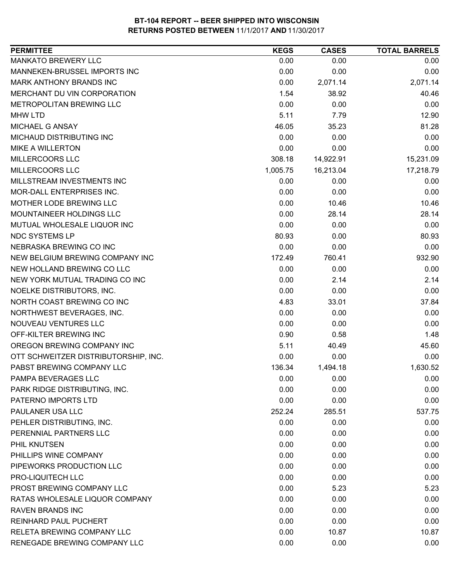| <b>PERMITTEE</b>                     | <b>KEGS</b> | <b>CASES</b> | <b>TOTAL BARRELS</b> |
|--------------------------------------|-------------|--------------|----------------------|
| <b>MANKATO BREWERY LLC</b>           | 0.00        | 0.00         | 0.00                 |
| MANNEKEN-BRUSSEL IMPORTS INC         | 0.00        | 0.00         | 0.00                 |
| MARK ANTHONY BRANDS INC              | 0.00        | 2,071.14     | 2,071.14             |
| MERCHANT DU VIN CORPORATION          | 1.54        | 38.92        | 40.46                |
| METROPOLITAN BREWING LLC             | 0.00        | 0.00         | 0.00                 |
| <b>MHW LTD</b>                       | 5.11        | 7.79         | 12.90                |
| MICHAEL G ANSAY                      | 46.05       | 35.23        | 81.28                |
| MICHAUD DISTRIBUTING INC             | 0.00        | 0.00         | 0.00                 |
| <b>MIKE A WILLERTON</b>              | 0.00        | 0.00         | 0.00                 |
| MILLERCOORS LLC                      | 308.18      | 14,922.91    | 15,231.09            |
| MILLERCOORS LLC                      | 1,005.75    | 16,213.04    | 17,218.79            |
| MILLSTREAM INVESTMENTS INC           | 0.00        | 0.00         | 0.00                 |
| MOR-DALL ENTERPRISES INC.            | 0.00        | 0.00         | 0.00                 |
| MOTHER LODE BREWING LLC              | 0.00        | 10.46        | 10.46                |
| MOUNTAINEER HOLDINGS LLC             | 0.00        | 28.14        | 28.14                |
| MUTUAL WHOLESALE LIQUOR INC          | 0.00        | 0.00         | 0.00                 |
| NDC SYSTEMS LP                       | 80.93       | 0.00         | 80.93                |
| NEBRASKA BREWING CO INC              | 0.00        | 0.00         | 0.00                 |
| NEW BELGIUM BREWING COMPANY INC      | 172.49      | 760.41       | 932.90               |
| NEW HOLLAND BREWING CO LLC           | 0.00        | 0.00         | 0.00                 |
| NEW YORK MUTUAL TRADING CO INC       | 0.00        | 2.14         | 2.14                 |
| NOELKE DISTRIBUTORS, INC.            | 0.00        | 0.00         | 0.00                 |
| NORTH COAST BREWING CO INC           | 4.83        | 33.01        | 37.84                |
| NORTHWEST BEVERAGES, INC.            | 0.00        | 0.00         | 0.00                 |
| NOUVEAU VENTURES LLC                 | 0.00        | 0.00         | 0.00                 |
| OFF-KILTER BREWING INC               | 0.90        | 0.58         | 1.48                 |
| OREGON BREWING COMPANY INC           | 5.11        | 40.49        | 45.60                |
| OTT SCHWEITZER DISTRIBUTORSHIP, INC. | 0.00        | 0.00         | 0.00                 |
| PABST BREWING COMPANY LLC            | 136.34      | 1,494.18     | 1,630.52             |
| PAMPA BEVERAGES LLC                  | 0.00        | 0.00         | 0.00                 |
| PARK RIDGE DISTRIBUTING, INC.        | 0.00        | 0.00         | 0.00                 |
| PATERNO IMPORTS LTD                  | 0.00        | 0.00         | 0.00                 |
| PAULANER USA LLC                     | 252.24      | 285.51       | 537.75               |
| PEHLER DISTRIBUTING, INC.            | 0.00        | 0.00         | 0.00                 |
| PERENNIAL PARTNERS LLC               | 0.00        | 0.00         | 0.00                 |
| <b>PHIL KNUTSEN</b>                  | 0.00        | 0.00         | 0.00                 |
| PHILLIPS WINE COMPANY                | 0.00        | 0.00         | 0.00                 |
| PIPEWORKS PRODUCTION LLC             | 0.00        | 0.00         | 0.00                 |
| PRO-LIQUITECH LLC                    | 0.00        | 0.00         | 0.00                 |
| PROST BREWING COMPANY LLC            | 0.00        | 5.23         | 5.23                 |
| RATAS WHOLESALE LIQUOR COMPANY       | 0.00        | 0.00         | 0.00                 |
| <b>RAVEN BRANDS INC</b>              | 0.00        | 0.00         | 0.00                 |
| <b>REINHARD PAUL PUCHERT</b>         | 0.00        | 0.00         | 0.00                 |
| RELETA BREWING COMPANY LLC           | 0.00        | 10.87        | 10.87                |
| RENEGADE BREWING COMPANY LLC         | 0.00        | 0.00         | 0.00                 |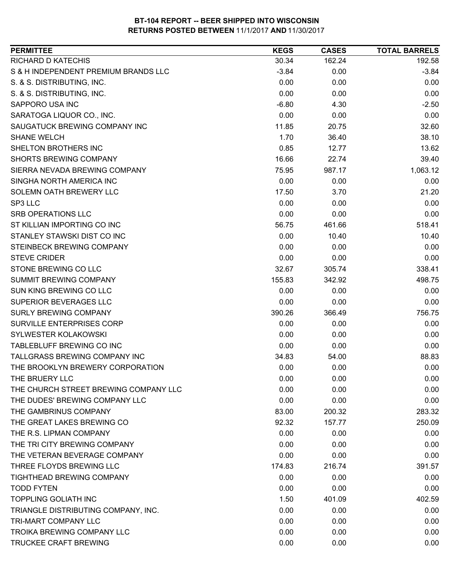| <b>PERMITTEE</b>                      | <b>KEGS</b> | <b>CASES</b> | <b>TOTAL BARRELS</b> |
|---------------------------------------|-------------|--------------|----------------------|
| <b>RICHARD D KATECHIS</b>             | 30.34       | 162.24       | 192.58               |
| S & H INDEPENDENT PREMIUM BRANDS LLC  | $-3.84$     | 0.00         | $-3.84$              |
| S. & S. DISTRIBUTING, INC.            | 0.00        | 0.00         | 0.00                 |
| S. & S. DISTRIBUTING, INC.            | 0.00        | 0.00         | 0.00                 |
| SAPPORO USA INC                       | $-6.80$     | 4.30         | $-2.50$              |
| SARATOGA LIQUOR CO., INC.             | 0.00        | 0.00         | 0.00                 |
| SAUGATUCK BREWING COMPANY INC         | 11.85       | 20.75        | 32.60                |
| <b>SHANE WELCH</b>                    | 1.70        | 36.40        | 38.10                |
| SHELTON BROTHERS INC                  | 0.85        | 12.77        | 13.62                |
| <b>SHORTS BREWING COMPANY</b>         | 16.66       | 22.74        | 39.40                |
| SIERRA NEVADA BREWING COMPANY         | 75.95       | 987.17       | 1,063.12             |
| SINGHA NORTH AMERICA INC              | 0.00        | 0.00         | 0.00                 |
| SOLEMN OATH BREWERY LLC               | 17.50       | 3.70         | 21.20                |
| SP3 LLC                               | 0.00        | 0.00         | 0.00                 |
| <b>SRB OPERATIONS LLC</b>             | 0.00        | 0.00         | 0.00                 |
| ST KILLIAN IMPORTING CO INC           | 56.75       | 461.66       | 518.41               |
| STANLEY STAWSKI DIST CO INC           | 0.00        | 10.40        | 10.40                |
| STEINBECK BREWING COMPANY             | 0.00        | 0.00         | 0.00                 |
| <b>STEVE CRIDER</b>                   | 0.00        | 0.00         | 0.00                 |
| STONE BREWING CO LLC                  | 32.67       | 305.74       | 338.41               |
| SUMMIT BREWING COMPANY                | 155.83      | 342.92       | 498.75               |
| SUN KING BREWING CO LLC               | 0.00        | 0.00         | 0.00                 |
| SUPERIOR BEVERAGES LLC                | 0.00        | 0.00         | 0.00                 |
| <b>SURLY BREWING COMPANY</b>          | 390.26      | 366.49       | 756.75               |
| SURVILLE ENTERPRISES CORP             | 0.00        | 0.00         | 0.00                 |
| SYLWESTER KOLAKOWSKI                  | 0.00        | 0.00         | 0.00                 |
| TABLEBLUFF BREWING CO INC             | 0.00        | 0.00         | 0.00                 |
| TALLGRASS BREWING COMPANY INC         | 34.83       | 54.00        | 88.83                |
| THE BROOKLYN BREWERY CORPORATION      | 0.00        | 0.00         | 0.00                 |
| THE BRUERY LLC                        | 0.00        | 0.00         | 0.00                 |
| THE CHURCH STREET BREWING COMPANY LLC | 0.00        | 0.00         | 0.00                 |
| THE DUDES' BREWING COMPANY LLC        | 0.00        | 0.00         | 0.00                 |
| THE GAMBRINUS COMPANY                 | 83.00       | 200.32       | 283.32               |
| THE GREAT LAKES BREWING CO            | 92.32       | 157.77       | 250.09               |
| THE R.S. LIPMAN COMPANY               | 0.00        | 0.00         | 0.00                 |
| THE TRI CITY BREWING COMPANY          | 0.00        | 0.00         | 0.00                 |
| THE VETERAN BEVERAGE COMPANY          | 0.00        | 0.00         | 0.00                 |
| THREE FLOYDS BREWING LLC              | 174.83      | 216.74       | 391.57               |
| <b>TIGHTHEAD BREWING COMPANY</b>      | 0.00        | 0.00         | 0.00                 |
| <b>TODD FYTEN</b>                     | 0.00        | 0.00         | 0.00                 |
| <b>TOPPLING GOLIATH INC</b>           | 1.50        | 401.09       | 402.59               |
| TRIANGLE DISTRIBUTING COMPANY, INC.   | 0.00        | 0.00         | 0.00                 |
| <b>TRI-MART COMPANY LLC</b>           | 0.00        | 0.00         | 0.00                 |
| TROIKA BREWING COMPANY LLC            | 0.00        | 0.00         | 0.00                 |
| TRUCKEE CRAFT BREWING                 | 0.00        | 0.00         | 0.00                 |